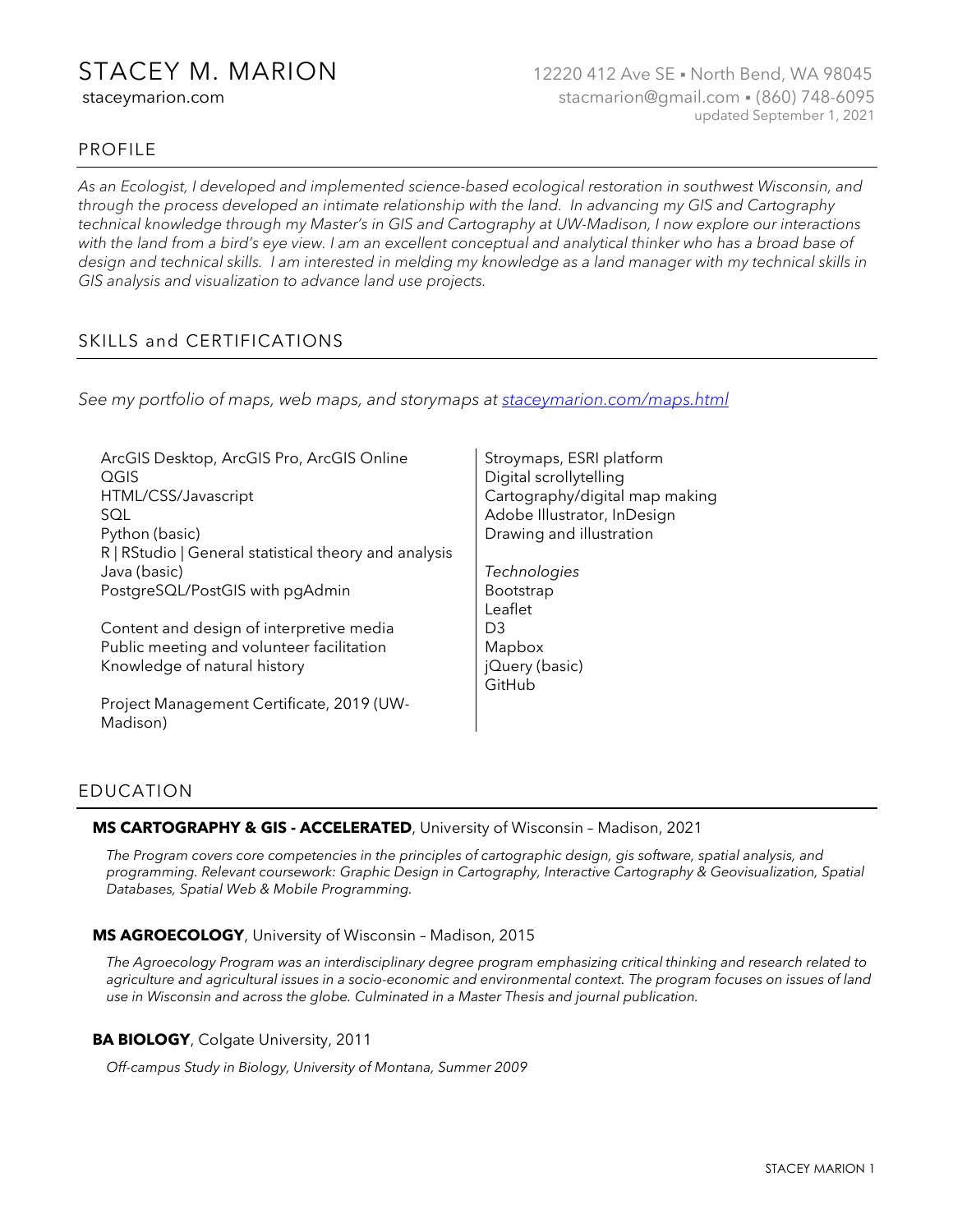# PROFILE

*As an Ecologist, I developed and implemented science-based ecological restoration in southwest Wisconsin, and through the process developed an intimate relationship with the land. In advancing my GIS and Cartography technical knowledge through my Master's in GIS and Cartography at UW-Madison, I now explore our interactions with the land from a bird's eye view. I am an excellent conceptual and analytical thinker who has a broad base of design and technical skills. I am interested in melding my knowledge as a land manager with my technical skills in GIS analysis and visualization to advance land use projects.*

# SKILLS and CERTIFICATIONS

*See my portfolio of maps, web maps, and storymaps a[t staceymarion.com/maps.html](https://staceymarion.com/maps.html)*

| ArcGIS Desktop, ArcGIS Pro, ArcGIS Online<br>QGIS<br>HTML/CSS/Javascript<br>SQL<br>Python (basic) | Stroymaps, ESRI platform<br>Digital scrollytelling<br>Cartography/digital map making<br>Adobe Illustrator, InDesign<br>Drawing and illustration |
|---------------------------------------------------------------------------------------------------|-------------------------------------------------------------------------------------------------------------------------------------------------|
| R   RStudio   General statistical theory and analysis<br>Java (basic)                             | Technologies                                                                                                                                    |
|                                                                                                   |                                                                                                                                                 |
| PostgreSQL/PostGIS with pgAdmin                                                                   | <b>Bootstrap</b>                                                                                                                                |
|                                                                                                   | Leaflet                                                                                                                                         |
| Content and design of interpretive media                                                          | D3                                                                                                                                              |
| Public meeting and volunteer facilitation                                                         | Mapbox                                                                                                                                          |
| Knowledge of natural history                                                                      | jQuery (basic)                                                                                                                                  |
|                                                                                                   | GitHub                                                                                                                                          |
| Project Management Certificate, 2019 (UW-<br>Madison)                                             |                                                                                                                                                 |

# EDUCATION

## **MS CARTOGRAPHY & GIS - ACCELERATED**, University of Wisconsin – Madison, 2021

*The Program covers core competencies in the principles of cartographic design, gis software, spatial analysis, and programming. Relevant coursework: Graphic Design in Cartography, Interactive Cartography & Geovisualization, Spatial Databases, Spatial Web & Mobile Programming.*

## **MS AGROECOLOGY**, University of Wisconsin – Madison, 2015

*The Agroecology Program was an interdisciplinary degree program emphasizing critical thinking and research related to agriculture and agricultural issues in a socio-economic and environmental context. The program focuses on issues of land use in Wisconsin and across the globe. Culminated in a Master Thesis and journal publication.*

## **BA BIOLOGY**, Colgate University, 2011

*Off-campus Study in Biology, University of Montana, Summer 2009*